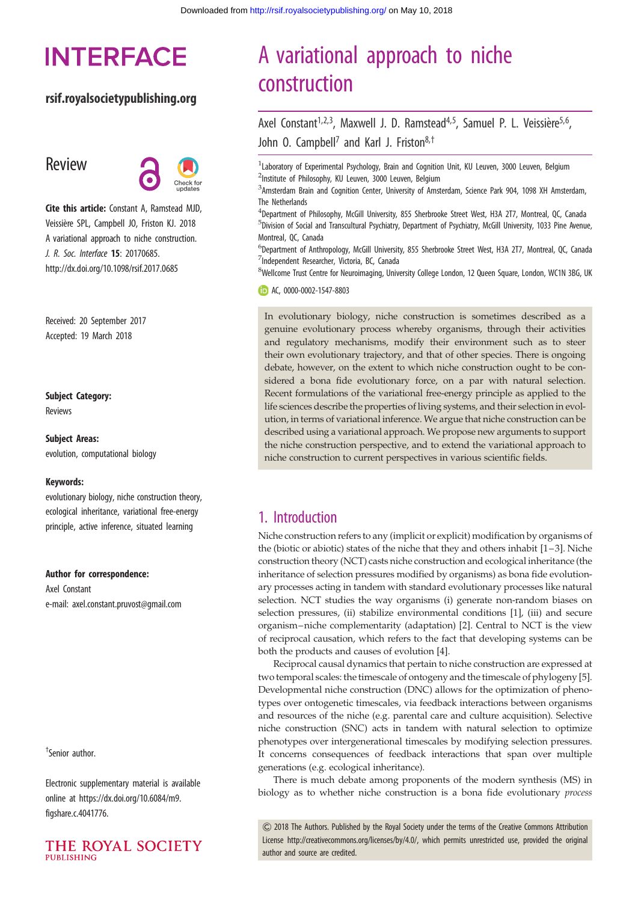# **INTERFACE**

### rsif.royalsocietypublishing.org

# Review



Cite this article: Constant A, Ramstead MJD, Veissière SPL, Campbell JO, Friston KJ. 2018 A variational approach to niche construction. J. R. Soc. Interface 15: 20170685. http://dx.doi.org/10.1098/rsif.2017.0685

Received: 20 September 2017 Accepted: 19 March 2018

#### Subject Category: Reviews

Subject Areas:

evolution, computational biology

#### Keywords:

evolutionary biology, niche construction theory, ecological inheritance, variational free-energy principle, active inference, situated learning

#### Author for correspondence:

Axel Constant e-mail: [axel.constant.pruvost@gmail.com](mailto:axel.constant.pruvost@gmail.com)

† Senior author.

Electronic supplementary material is available online at [https://dx.doi.org/10.6084/m9.](https://dx.doi.org/10.6084/m9.figshare.c.4041776) [figshare.c.4041776](https://dx.doi.org/10.6084/m9.figshare.c.4041776).



# A variational approach to niche construction

Axel Constant<sup>1,2,3</sup>, Maxwell J. D. Ramstead<sup>4,5</sup>, Samuel P. L. Veissière<sup>5,6</sup>, John O. Campbell<sup>7</sup> and Karl J. Friston<sup>8,†</sup>

<sup>1</sup> Laboratory of Experimental Psychology, Brain and Cognition Unit, KU Leuven, 3000 Leuven, Belgium <sup>2</sup>Institute of Philosophy, KU Leuven, 3000 Leuven, Belgium

3 Amsterdam Brain and Cognition Center, University of Amsterdam, Science Park 904, 1098 XH Amsterdam, The Netherlands

4 Department of Philosophy, McGill University, 855 Sherbrooke Street West, H3A 2T7, Montreal, QC, Canada 5 Division of Social and Transcultural Psychiatry, Department of Psychiatry, McGill University, 1033 Pine Avenue, Montreal, QC, Canada

<sup>6</sup>Department of Anthropology, McGill University, 855 Sherbrooke Street West, H3A 2T7, Montreal, QC, Canada 7 Independent Researcher, Victoria, BC, Canada

<sup>8</sup>Wellcome Trust Centre for Neuroimaging, University College London, 12 Queen Square, London, WC1N 3BG, UK

AC, [0000-0002-1547-8803](http://orcid.org/0000-0002-1547-8803)

In evolutionary biology, niche construction is sometimes described as a genuine evolutionary process whereby organisms, through their activities and regulatory mechanisms, modify their environment such as to steer their own evolutionary trajectory, and that of other species. There is ongoing debate, however, on the extent to which niche construction ought to be considered a bona fide evolutionary force, on a par with natural selection. Recent formulations of the variational free-energy principle as applied to the life sciences describe the properties of living systems, and their selection in evolution, in terms of variational inference. We argue that niche construction can be described using a variational approach. We propose new arguments to support the niche construction perspective, and to extend the variational approach to niche construction to current perspectives in various scientific fields.

# 1. Introduction

Niche construction refers to any (implicit or explicit) modification by organisms of the (biotic or abiotic) states of the niche that they and others inhabit [\[1](#page-11-0)–[3](#page-11-0)]. Niche construction theory (NCT) casts niche construction and ecological inheritance (the inheritance of selection pressures modified by organisms) as bona fide evolutionary processes acting in tandem with standard evolutionary processes like natural selection. NCT studies the way organisms (i) generate non-random biases on selection pressures, (ii) stabilize environmental conditions [\[1\]](#page-11-0), (iii) and secure organism–niche complementarity (adaptation) [[2](#page-11-0)]. Central to NCT is the view of reciprocal causation, which refers to the fact that developing systems can be both the products and causes of evolution [[4](#page-11-0)].

Reciprocal causal dynamics that pertain to niche construction are expressed at two temporal scales: the timescale of ontogeny and the timescale of phylogeny [\[5\]](#page-11-0). Developmental niche construction (DNC) allows for the optimization of phenotypes over ontogenetic timescales, via feedback interactions between organisms and resources of the niche (e.g. parental care and culture acquisition). Selective niche construction (SNC) acts in tandem with natural selection to optimize phenotypes over intergenerational timescales by modifying selection pressures. It concerns consequences of feedback interactions that span over multiple generations (e.g. ecological inheritance).

There is much debate among proponents of the modern synthesis (MS) in biology as to whether niche construction is a bona fide evolutionary process

& 2018 The Authors. Published by the Royal Society under the terms of the Creative Commons Attribution License [http://creativecommons.org/licenses/by/4.0/, which permits unrestricted use, provided the original](http://creativecommons.org/licenses/by/4.0/) [author and source are credited.](http://creativecommons.org/licenses/by/4.0/)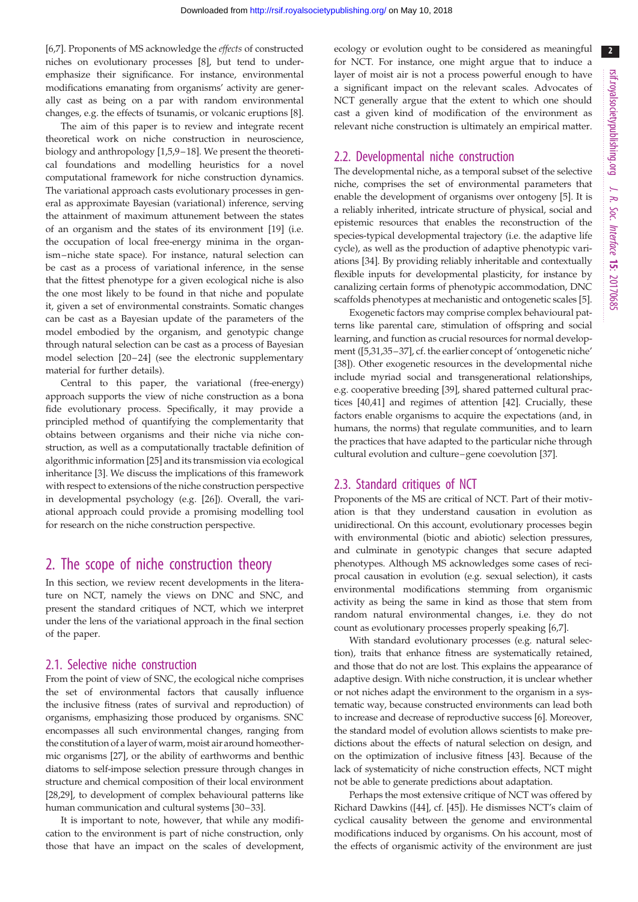$\overline{\phantom{a}}$  2

[\[6,7](#page-11-0)]. Proponents of MS acknowledge the effects of constructed niches on evolutionary processes [[8](#page-11-0)], but tend to underemphasize their significance. For instance, environmental modifications emanating from organisms' activity are generally cast as being on a par with random environmental changes, e.g. the effects of tsunamis, or volcanic eruptions [[8](#page-11-0)].

The aim of this paper is to review and integrate recent theoretical work on niche construction in neuroscience, biology and anthropology [[1,5,9](#page-11-0)–[18](#page-11-0)]. We present the theoretical foundations and modelling heuristics for a novel computational framework for niche construction dynamics. The variational approach casts evolutionary processes in general as approximate Bayesian (variational) inference, serving the attainment of maximum attunement between the states of an organism and the states of its environment [\[19](#page-11-0)] (i.e. the occupation of local free-energy minima in the organism–niche state space). For instance, natural selection can be cast as a process of variational inference, in the sense that the fittest phenotype for a given ecological niche is also the one most likely to be found in that niche and populate it, given a set of environmental constraints. Somatic changes can be cast as a Bayesian update of the parameters of the model embodied by the organism, and genotypic change through natural selection can be cast as a process of Bayesian model selection  $[20-24]$  $[20-24]$  $[20-24]$  (see the electronic supplementary material for further details).

Central to this paper, the variational (free-energy) approach supports the view of niche construction as a bona fide evolutionary process. Specifically, it may provide a principled method of quantifying the complementarity that obtains between organisms and their niche via niche construction, as well as a computationally tractable definition of algorithmic information [[25](#page-11-0)] and its transmission via ecological inheritance [\[3\]](#page-11-0). We discuss the implications of this framework with respect to extensions of the niche construction perspective in developmental psychology (e.g. [\[26](#page-12-0)]). Overall, the variational approach could provide a promising modelling tool for research on the niche construction perspective.

## 2. The scope of niche construction theory

In this section, we review recent developments in the literature on NCT, namely the views on DNC and SNC, and present the standard critiques of NCT, which we interpret under the lens of the variational approach in the final section of the paper.

#### 2.1. Selective niche construction

From the point of view of SNC, the ecological niche comprises the set of environmental factors that causally influence the inclusive fitness (rates of survival and reproduction) of organisms, emphasizing those produced by organisms. SNC encompasses all such environmental changes, ranging from the constitution of a layer of warm, moist air around homeothermic organisms [[27\]](#page-12-0), or the ability of earthworms and benthic diatoms to self-impose selection pressure through changes in structure and chemical composition of their local environment [\[28,29](#page-12-0)], to development of complex behavioural patterns like human communication and cultural systems [\[30](#page-12-0)–[33\]](#page-12-0).

It is important to note, however, that while any modification to the environment is part of niche construction, only those that have an impact on the scales of development, ecology or evolution ought to be considered as meaningful for NCT. For instance, one might argue that to induce a layer of moist air is not a process powerful enough to have a significant impact on the relevant scales. Advocates of NCT generally argue that the extent to which one should cast a given kind of modification of the environment as relevant niche construction is ultimately an empirical matter.

### 2.2. Developmental niche construction

The developmental niche, as a temporal subset of the selective niche, comprises the set of environmental parameters that enable the development of organisms over ontogeny [\[5\]](#page-11-0). It is a reliably inherited, intricate structure of physical, social and epistemic resources that enables the reconstruction of the species-typical developmental trajectory (i.e. the adaptive life cycle), as well as the production of adaptive phenotypic variations [[34](#page-12-0)]. By providing reliably inheritable and contextually flexible inputs for developmental plasticity, for instance by canalizing certain forms of phenotypic accommodation, DNC scaffolds phenotypes at mechanistic and ontogenetic scales [\[5\]](#page-11-0).

Exogenetic factors may comprise complex behavioural patterns like parental care, stimulation of offspring and social learning, and function as crucial resources for normal development ([[5](#page-11-0)[,31,35](#page-12-0)–[37](#page-12-0)], cf. the earlier concept of 'ontogenetic niche' [[38\]](#page-12-0)). Other exogenetic resources in the developmental niche include myriad social and transgenerational relationships, e.g. cooperative breeding [\[39](#page-12-0)], shared patterned cultural practices [\[40,41](#page-12-0)] and regimes of attention [\[42](#page-12-0)]. Crucially, these factors enable organisms to acquire the expectations (and, in humans, the norms) that regulate communities, and to learn the practices that have adapted to the particular niche through cultural evolution and culture–gene coevolution [\[37](#page-12-0)].

### 2.3. Standard critiques of NCT

Proponents of the MS are critical of NCT. Part of their motivation is that they understand causation in evolution as unidirectional. On this account, evolutionary processes begin with environmental (biotic and abiotic) selection pressures, and culminate in genotypic changes that secure adapted phenotypes. Although MS acknowledges some cases of reciprocal causation in evolution (e.g. sexual selection), it casts environmental modifications stemming from organismic activity as being the same in kind as those that stem from random natural environmental changes, i.e. they do not count as evolutionary processes properly speaking [[6,7\]](#page-11-0).

With standard evolutionary processes (e.g. natural selection), traits that enhance fitness are systematically retained, and those that do not are lost. This explains the appearance of adaptive design. With niche construction, it is unclear whether or not niches adapt the environment to the organism in a systematic way, because constructed environments can lead both to increase and decrease of reproductive success [[6](#page-11-0)]. Moreover, the standard model of evolution allows scientists to make predictions about the effects of natural selection on design, and on the optimization of inclusive fitness [\[43](#page-12-0)]. Because of the lack of systematicity of niche construction effects, NCT might not be able to generate predictions about adaptation.

Perhaps the most extensive critique of NCT was offered by Richard Dawkins ([\[44](#page-12-0)], cf. [[45\]](#page-12-0)). He dismisses NCT's claim of cyclical causality between the genome and environmental modifications induced by organisms. On his account, most of the effects of organismic activity of the environment are just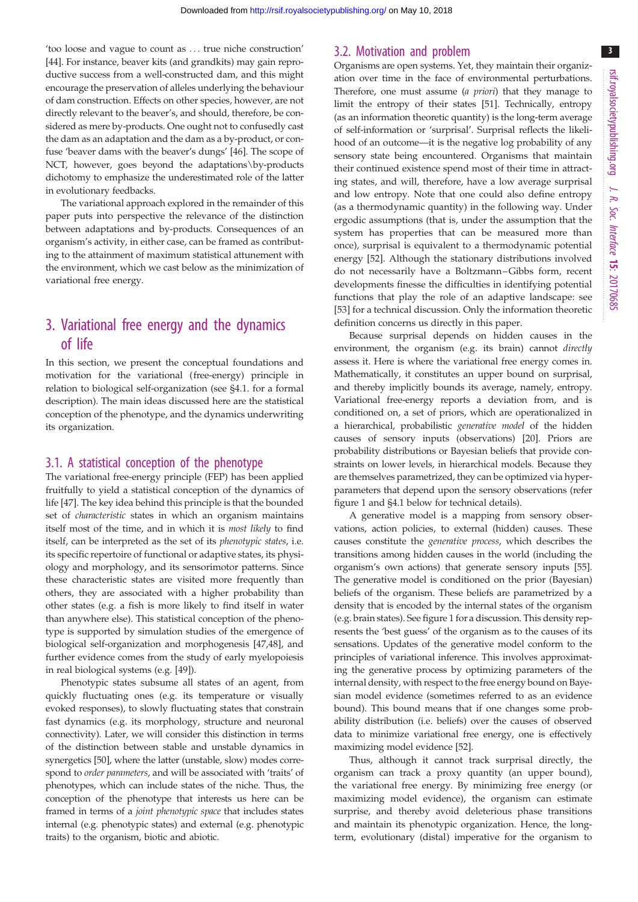'too loose and vague to count as ... true niche construction' [\[44](#page-12-0)]. For instance, beaver kits (and grandkits) may gain reproductive success from a well-constructed dam, and this might encourage the preservation of alleles underlying the behaviour of dam construction. Effects on other species, however, are not directly relevant to the beaver's, and should, therefore, be considered as mere by-products. One ought not to confusedly cast the dam as an adaptation and the dam as a by-product, or confuse 'beaver dams with the beaver's dungs' [[46](#page-12-0)]. The scope of NCT, however, goes beyond the adaptations\by-products dichotomy to emphasize the underestimated role of the latter in evolutionary feedbacks.

The variational approach explored in the remainder of this paper puts into perspective the relevance of the distinction between adaptations and by-products. Consequences of an organism's activity, in either case, can be framed as contributing to the attainment of maximum statistical attunement with the environment, which we cast below as the minimization of variational free energy.

# 3. Variational free energy and the dynamics of life

In this section, we present the conceptual foundations and motivation for the variational (free-energy) principle in relation to biological self-organization (see §4.1. for a formal description). The main ideas discussed here are the statistical conception of the phenotype, and the dynamics underwriting its organization.

#### 3.1. A statistical conception of the phenotype

The variational free-energy principle (FEP) has been applied fruitfully to yield a statistical conception of the dynamics of life [\[47](#page-12-0)]. The key idea behind this principle is that the bounded set of characteristic states in which an organism maintains itself most of the time, and in which it is most likely to find itself, can be interpreted as the set of its phenotypic states, i.e. its specific repertoire of functional or adaptive states, its physiology and morphology, and its sensorimotor patterns. Since these characteristic states are visited more frequently than others, they are associated with a higher probability than other states (e.g. a fish is more likely to find itself in water than anywhere else). This statistical conception of the phenotype is supported by simulation studies of the emergence of biological self-organization and morphogenesis [\[47](#page-12-0),[48\]](#page-12-0), and further evidence comes from the study of early myelopoiesis in real biological systems (e.g. [\[49](#page-12-0)]).

Phenotypic states subsume all states of an agent, from quickly fluctuating ones (e.g. its temperature or visually evoked responses), to slowly fluctuating states that constrain fast dynamics (e.g. its morphology, structure and neuronal connectivity). Later, we will consider this distinction in terms of the distinction between stable and unstable dynamics in synergetics [\[50](#page-12-0)], where the latter (unstable, slow) modes correspond to order parameters, and will be associated with 'traits' of phenotypes, which can include states of the niche. Thus, the conception of the phenotype that interests us here can be framed in terms of a joint phenotypic space that includes states internal (e.g. phenotypic states) and external (e.g. phenotypic traits) to the organism, biotic and abiotic.

#### 3.2. Motivation and problem

Organisms are open systems. Yet, they maintain their organization over time in the face of environmental perturbations. Therefore, one must assume (a priori) that they manage to limit the entropy of their states [\[51](#page-12-0)]. Technically, entropy (as an information theoretic quantity) is the long-term average of self-information or 'surprisal'. Surprisal reflects the likelihood of an outcome—it is the negative log probability of any sensory state being encountered. Organisms that maintain their continued existence spend most of their time in attracting states, and will, therefore, have a low average surprisal and low entropy. Note that one could also define entropy (as a thermodynamic quantity) in the following way. Under ergodic assumptions (that is, under the assumption that the system has properties that can be measured more than once), surprisal is equivalent to a thermodynamic potential energy [\[52\]](#page-12-0). Although the stationary distributions involved do not necessarily have a Boltzmann –Gibbs form, recent developments finesse the difficulties in identifying potential functions that play the role of an adaptive landscape: see [[53\]](#page-12-0) for a technical discussion. Only the information theoretic definition concerns us directly in this paper.

Because surprisal depends on hidden causes in the environment, the organism (e.g. its brain) cannot directly assess it. Here is where the variational free energy comes in. Mathematically, it constitutes an upper bound on surprisal, and thereby implicitly bounds its average, namely, entropy. Variational free-energy reports a deviation from, and is conditioned on, a set of priors, which are operationalized in a hierarchical, probabilistic generative model of the hidden causes of sensory inputs (observations) [\[20](#page-11-0)]. Priors are probability distributions or Bayesian beliefs that provide constraints on lower levels, in hierarchical models. Because they are themselves parametrized, they can be optimized via hyperparameters that depend upon the sensory observations (refer [figure 1](#page-3-0) and §4.1 below for technical details).

A generative model is a mapping from sensory observations, action policies, to external (hidden) causes. These causes constitute the generative process, which describes the transitions among hidden causes in the world (including the organism's own actions) that generate sensory inputs [[55\]](#page-12-0). The generative model is conditioned on the prior (Bayesian) beliefs of the organism. These beliefs are parametrized by a density that is encoded by the internal states of the organism (e.g. brain states). See [figure 1](#page-3-0) for a discussion. This density represents the 'best guess' of the organism as to the causes of its sensations. Updates of the generative model conform to the principles of variational inference. This involves approximating the generative process by optimizing parameters of the internal density, with respect to the free energy bound on Bayesian model evidence (sometimes referred to as an evidence bound). This bound means that if one changes some probability distribution (i.e. beliefs) over the causes of observed data to minimize variational free energy, one is effectively maximizing model evidence [[52\]](#page-12-0).

Thus, although it cannot track surprisal directly, the organism can track a proxy quantity (an upper bound), the variational free energy. By minimizing free energy (or maximizing model evidence), the organism can estimate surprise, and thereby avoid deleterious phase transitions and maintain its phenotypic organization. Hence, the longterm, evolutionary (distal) imperative for the organism to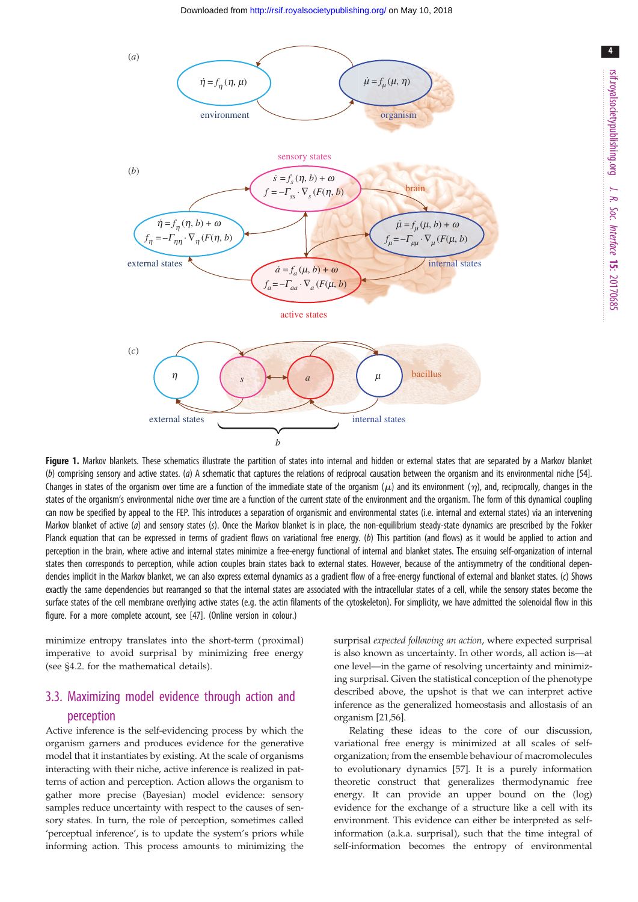<span id="page-3-0"></span>

Figure 1. Markov blankets. These schematics illustrate the partition of states into internal and hidden or external states that are separated by a Markov blanket (b) comprising sensory and active states. (a) A schematic that captures the relations of reciprocal causation between the organism and its environmental niche [[54](#page-12-0)]. Changes in states of the organism over time are a function of the immediate state of the organism ( $\mu$ ) and its environment ( $\eta$ ), and, reciprocally, changes in the states of the organism's environmental niche over time are a function of the current state of the environment and the organism. The form of this dynamical coupling can now be specified by appeal to the FEP. This introduces a separation of organismic and environmental states (i.e. internal and external states) via an intervening Markov blanket of active (a) and sensory states (s). Once the Markov blanket is in place, the non-equilibrium steady-state dynamics are prescribed by the Fokker Planck equation that can be expressed in terms of gradient flows on variational free energy. (b) This partition (and flows) as it would be applied to action and perception in the brain, where active and internal states minimize a free-energy functional of internal and blanket states. The ensuing self-organization of internal states then corresponds to perception, while action couples brain states back to external states. However, because of the antisymmetry of the conditional dependencies implicit in the Markov blanket, we can also express external dynamics as a gradient flow of a free-energy functional of external and blanket states. (c) Shows exactly the same dependencies but rearranged so that the internal states are associated with the intracellular states of a cell, while the sensory states become the surface states of the cell membrane overlying active states (e.g. the actin filaments of the cytoskeleton). For simplicity, we have admitted the solenoidal flow in this figure. For a more complete account, see [[47](#page-12-0)]. (Online version in colour.)

minimize entropy translates into the short-term (proximal) imperative to avoid surprisal by minimizing free energy (see §4.2. for the mathematical details).

# 3.3. Maximizing model evidence through action and perception

Active inference is the self-evidencing process by which the organism garners and produces evidence for the generative model that it instantiates by existing. At the scale of organisms interacting with their niche, active inference is realized in patterns of action and perception. Action allows the organism to gather more precise (Bayesian) model evidence: sensory samples reduce uncertainty with respect to the causes of sensory states. In turn, the role of perception, sometimes called 'perceptual inference', is to update the system's priors while informing action. This process amounts to minimizing the surprisal expected following an action, where expected surprisal is also known as uncertainty. In other words, all action is—at one level—in the game of resolving uncertainty and minimizing surprisal. Given the statistical conception of the phenotype described above, the upshot is that we can interpret active inference as the generalized homeostasis and allostasis of an organism [[21](#page-11-0)[,56](#page-12-0)].

Relating these ideas to the core of our discussion, variational free energy is minimized at all scales of selforganization; from the ensemble behaviour of macromolecules to evolutionary dynamics [\[57](#page-12-0)]. It is a purely information theoretic construct that generalizes thermodynamic free energy. It can provide an upper bound on the (log) evidence for the exchange of a structure like a cell with its environment. This evidence can either be interpreted as selfinformation (a.k.a. surprisal), such that the time integral of self-information becomes the entropy of environmental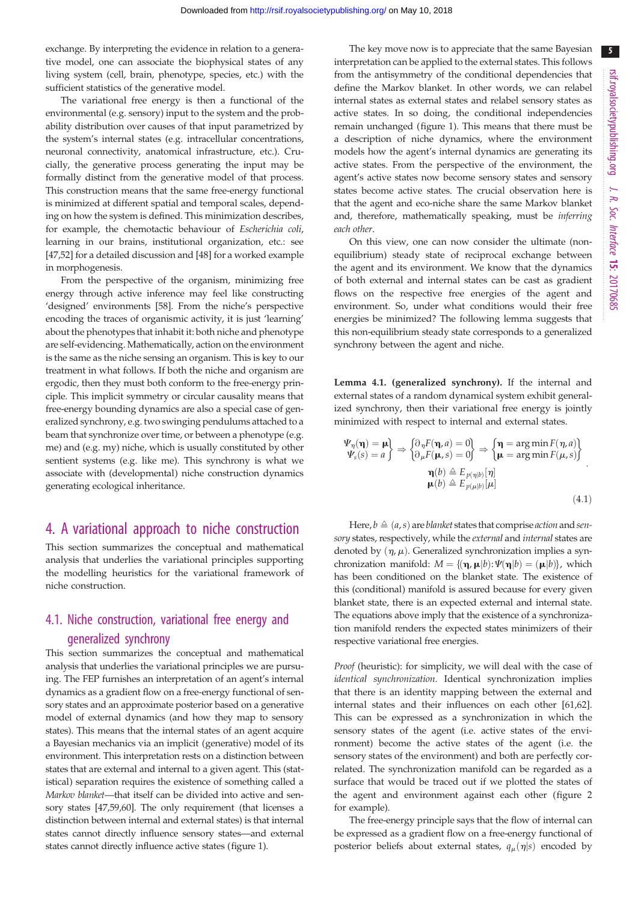exchange. By interpreting the evidence in relation to a generative model, one can associate the biophysical states of any living system (cell, brain, phenotype, species, etc.) with the sufficient statistics of the generative model.

The variational free energy is then a functional of the environmental (e.g. sensory) input to the system and the probability distribution over causes of that input parametrized by the system's internal states (e.g. intracellular concentrations, neuronal connectivity, anatomical infrastructure, etc.). Crucially, the generative process generating the input may be formally distinct from the generative model of that process. This construction means that the same free-energy functional is minimized at different spatial and temporal scales, depending on how the system is defined. This minimization describes, for example, the chemotactic behaviour of Escherichia coli, learning in our brains, institutional organization, etc.: see [\[47,52](#page-12-0)] for a detailed discussion and [[48\]](#page-12-0) for a worked example in morphogenesis.

From the perspective of the organism, minimizing free energy through active inference may feel like constructing 'designed' environments [[58\]](#page-12-0). From the niche's perspective encoding the traces of organismic activity, it is just 'learning' about the phenotypes that inhabit it: both niche and phenotype are self-evidencing. Mathematically, action on the environment is the same as the niche sensing an organism. This is key to our treatment in what follows. If both the niche and organism are ergodic, then they must both conform to the free-energy principle. This implicit symmetry or circular causality means that free-energy bounding dynamics are also a special case of generalized synchrony, e.g. two swinging pendulums attached to a beam that synchronize over time, or between a phenotype (e.g. me) and (e.g. my) niche, which is usually constituted by other sentient systems (e.g. like me). This synchrony is what we associate with (developmental) niche construction dynamics generating ecological inheritance.

## 4. A variational approach to niche construction

This section summarizes the conceptual and mathematical analysis that underlies the variational principles supporting the modelling heuristics for the variational framework of niche construction.

## 4.1. Niche construction, variational free energy and generalized synchrony

This section summarizes the conceptual and mathematical analysis that underlies the variational principles we are pursuing. The FEP furnishes an interpretation of an agent's internal dynamics as a gradient flow on a free-energy functional of sensory states and an approximate posterior based on a generative model of external dynamics (and how they map to sensory states). This means that the internal states of an agent acquire a Bayesian mechanics via an implicit (generative) model of its environment. This interpretation rests on a distinction between states that are external and internal to a given agent. This (statistical) separation requires the existence of something called a Markov blanket—that itself can be divided into active and sensory states [\[47,59,60](#page-12-0)]. The only requirement (that licenses a distinction between internal and external states) is that internal states cannot directly influence sensory states—and external states cannot directly influence active states [\(figure 1](#page-3-0)).

The key move now is to appreciate that the same Bayesian interpretation can be applied to the external states. This follows from the antisymmetry of the conditional dependencies that define the Markov blanket. In other words, we can relabel internal states as external states and relabel sensory states as active states. In so doing, the conditional independencies remain unchanged ([figure 1](#page-3-0)). This means that there must be a description of niche dynamics, where the environment models how the agent's internal dynamics are generating its active states. From the perspective of the environment, the agent's active states now become sensory states and sensory states become active states. The crucial observation here is that the agent and eco-niche share the same Markov blanket and, therefore, mathematically speaking, must be inferring each other.

On this view, one can now consider the ultimate (nonequilibrium) steady state of reciprocal exchange between the agent and its environment. We know that the dynamics of both external and internal states can be cast as gradient flows on the respective free energies of the agent and environment. So, under what conditions would their free energies be minimized? The following lemma suggests that this non-equilibrium steady state corresponds to a generalized synchrony between the agent and niche.

Lemma 4.1. (generalized synchrony). If the internal and external states of a random dynamical system exhibit generalized synchrony, then their variational free energy is jointly minimized with respect to internal and external states.

$$
\Psi_{\eta}(\mathbf{\eta}) = \mathbf{\mu} \{ \partial_{\eta} F(\mathbf{\eta}, a) = 0 \} \Rightarrow \{ \mathbf{\eta} = \arg \min F(\eta, a) \} \n\Psi_{s}(s) = a \} \Rightarrow \{ \partial_{\mu} F(\mathbf{\mu}, s) = 0 \} \Rightarrow \{ \mathbf{\mu} = \arg \min F(\mu, s) \} \n\P(\mathbf{b}) \triangleq E_{p(\mathbf{\eta}|\mathbf{b})}[\eta] \n\mathbf{\mu}(b) \triangleq E_{p(\mathbf{\mu}|\mathbf{b})}[\mu]
$$
\n(4.1)

Here,  $b \triangleq (a,s)$  are blanket states that comprise action and sensory states, respectively, while the external and internal states are denoted by  $(\eta, \mu)$ . Generalized synchronization implies a synchronization manifold:  $M = \{(\eta, \mu|b): \Psi(\eta|b) = (\mu|b)\},$  which has been conditioned on the blanket state. The existence of this (conditional) manifold is assured because for every given blanket state, there is an expected external and internal state. The equations above imply that the existence of a synchronization manifold renders the expected states minimizers of their respective variational free energies.

Proof (heuristic): for simplicity, we will deal with the case of identical synchronization. Identical synchronization implies that there is an identity mapping between the external and internal states and their influences on each other [\[61](#page-12-0),[62\]](#page-12-0). This can be expressed as a synchronization in which the sensory states of the agent (i.e. active states of the environment) become the active states of the agent (i.e. the sensory states of the environment) and both are perfectly correlated. The synchronization manifold can be regarded as a surface that would be traced out if we plotted the states of the agent and environment against each other ([figure 2](#page-5-0) for example).

The free-energy principle says that the flow of internal can be expressed as a gradient flow on a free-energy functional of posterior beliefs about external states,  $q_{\mu}(\eta|s)$  encoded by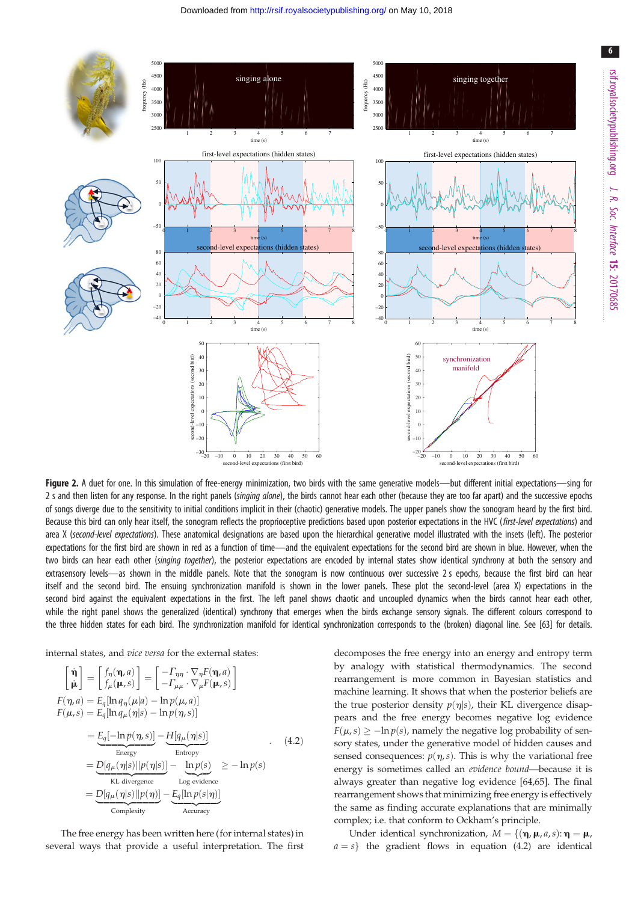<span id="page-5-0"></span>

Figure 2. A duet for one. In this simulation of free-energy minimization, two birds with the same generative models—but different initial expectations—sing for 2 s and then listen for any response. In the right panels (singing alone), the birds cannot hear each other (because they are too far apart) and the successive epochs of songs diverge due to the sensitivity to initial conditions implicit in their (chaotic) generative models. The upper panels show the sonogram heard by the first bird. Because this bird can only hear itself, the sonogram reflects the proprioceptive predictions based upon posterior expectations in the HVC (first-level expectations) and area X (second-level expectations). These anatomical designations are based upon the hierarchical generative model illustrated with the insets (left). The posterior expectations for the first bird are shown in red as a function of time—and the equivalent expectations for the second bird are shown in blue. However, when the two birds can hear each other (singing together), the posterior expectations are encoded by internal states show identical synchrony at both the sensory and extrasensory levels—as shown in the middle panels. Note that the sonogram is now continuous over successive 2 s epochs, because the first bird can hear itself and the second bird. The ensuing synchronization manifold is shown in the lower panels. These plot the second-level (area X) expectations in the second bird against the equivalent expectations in the first. The left panel shows chaotic and uncoupled dynamics when the birds cannot hear each other, while the right panel shows the generalized (identical) synchrony that emerges when the birds exchange sensory signals. The different colours correspond to the three hidden states for each bird. The synchronization manifold for identical synchronization corresponds to the (broken) diagonal line. See [[63](#page-12-0)] for details.

internal states, and vice versa for the external states:

$$
\begin{aligned}\n\begin{bmatrix}\n\dot{\mathbf{n}}\n\end{bmatrix} &= \begin{bmatrix}\nf_{\eta}(\mathbf{n}, a) \\
f_{\mu}(\mathbf{n}, s)\n\end{bmatrix} = \begin{bmatrix}\n-T_{\eta\eta} \cdot \nabla_{\eta} F(\mathbf{n}, a) \\
-T_{\mu\mu} \cdot \nabla_{\mu} F(\mathbf{n}, s)\n\end{bmatrix} \\
F(\eta, a) &= E_q [\ln q_{\eta}(\mu|a) - \ln p(\mu, a)] \\
F(\mu, s) &= E_q [\ln q_{\mu}(\eta|s) - \ln p(\eta, s)] \\
&= \underbrace{E_q[-\ln p(\eta, s)]}_{\text{Energy}} - \underbrace{H[q_{\mu}(\eta|s)]}_{\text{Entropy}} \\
&= \underbrace{D[q_{\mu}(\eta|s)||p(\eta|s)]}_{\text{KL divergence}} - \underbrace{\ln p(s)}_{\text{Log evidence}} \ge -\ln p(s) \\
&= \underbrace{D[q_{\mu}(\eta|s)||p(\eta)]}_{\text{Complexity}} - \underbrace{E_q[\ln p(s|\eta)]}_{\text{Accuracy}}\n\end{aligned} \tag{4.2}
$$

The free energy has been written here (for internal states) in several ways that provide a useful interpretation. The first decomposes the free energy into an energy and entropy term by analogy with statistical thermodynamics. The second rearrangement is more common in Bayesian statistics and machine learning. It shows that when the posterior beliefs are the true posterior density  $p(\eta|s)$ , their KL divergence disappears and the free energy becomes negative log evidence  $F(\mu, s) > -\ln p(s)$ , namely the negative log probability of sensory states, under the generative model of hidden causes and sensed consequences:  $p(\eta, s)$ . This is why the variational free energy is sometimes called an evidence bound—because it is always greater than negative log evidence [\[64,65](#page-12-0)]. The final rearrangement shows that minimizing free energy is effectively the same as finding accurate explanations that are minimally complex; i.e. that conform to Ockham's principle.

Under identical synchronization,  $M = \{(\eta, \mu, a, s) : \eta = \mu, h\}$  $a = s$ } the gradient flows in equation (4.2) are identical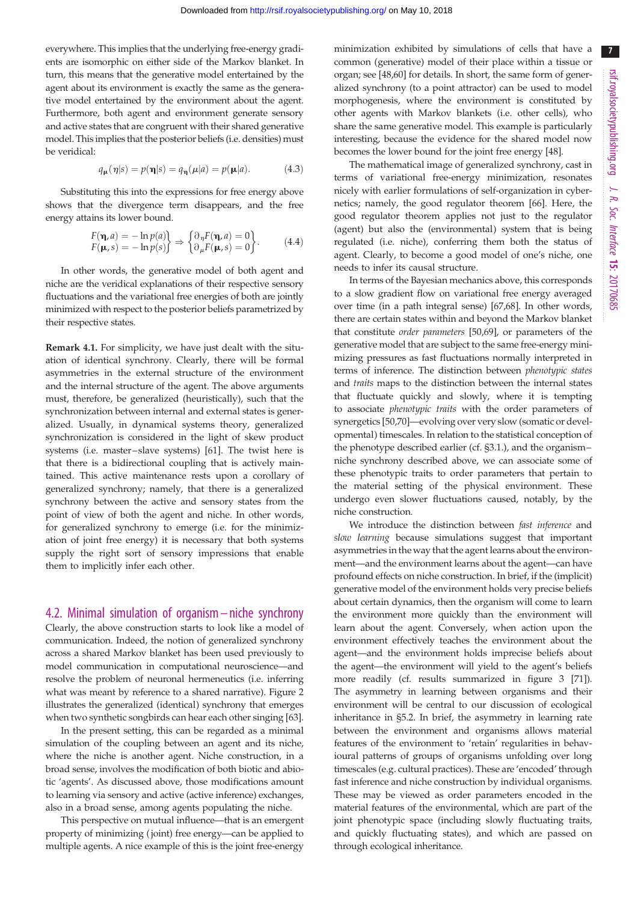7

everywhere. This implies that the underlying free-energy gradients are isomorphic on either side of the Markov blanket. In turn, this means that the generative model entertained by the agent about its environment is exactly the same as the generative model entertained by the environment about the agent. Furthermore, both agent and environment generate sensory and active states that are congruent with their shared generative model. This implies that the posterior beliefs (i.e. densities) must be veridical:

$$
q_{\mu}(\eta|s) = p(\eta|s) = q_{\eta}(\mu|a) = p(\mu|a). \tag{4.3}
$$

Substituting this into the expressions for free energy above shows that the divergence term disappears, and the free energy attains its lower bound.

$$
F(\mathbf{\eta}, a) = -\ln p(a) F(\mathbf{\mu}, s) = -\ln p(s) \qquad \Rightarrow \begin{cases} \partial_{\eta} F(\mathbf{\eta}, a) = 0 \partial_{\mu} F(\mathbf{\mu}, s) = 0 \end{cases} . \tag{4.4}
$$

In other words, the generative model of both agent and niche are the veridical explanations of their respective sensory fluctuations and the variational free energies of both are jointly minimized with respect to the posterior beliefs parametrized by their respective states.

Remark 4.1. For simplicity, we have just dealt with the situation of identical synchrony. Clearly, there will be formal asymmetries in the external structure of the environment and the internal structure of the agent. The above arguments must, therefore, be generalized (heuristically), such that the synchronization between internal and external states is generalized. Usually, in dynamical systems theory, generalized synchronization is considered in the light of skew product systems (i.e. master –slave systems) [\[61](#page-12-0)]. The twist here is that there is a bidirectional coupling that is actively maintained. This active maintenance rests upon a corollary of generalized synchrony; namely, that there is a generalized synchrony between the active and sensory states from the point of view of both the agent and niche. In other words, for generalized synchrony to emerge (i.e. for the minimization of joint free energy) it is necessary that both systems supply the right sort of sensory impressions that enable them to implicitly infer each other.

#### 4.2. Minimal simulation of organism – niche synchrony

Clearly, the above construction starts to look like a model of communication. Indeed, the notion of generalized synchrony across a shared Markov blanket has been used previously to model communication in computational neuroscience—and resolve the problem of neuronal hermeneutics (i.e. inferring what was meant by reference to a shared narrative). [Figure 2](#page-5-0) illustrates the generalized (identical) synchrony that emerges when two synthetic songbirds can hear each other singing [\[63](#page-12-0)].

In the present setting, this can be regarded as a minimal simulation of the coupling between an agent and its niche, where the niche is another agent. Niche construction, in a broad sense, involves the modification of both biotic and abiotic 'agents'. As discussed above, those modifications amount to learning via sensory and active (active inference) exchanges, also in a broad sense, among agents populating the niche.

This perspective on mutual influence—that is an emergent property of minimizing ( joint) free energy—can be applied to multiple agents. A nice example of this is the joint free-energy minimization exhibited by simulations of cells that have a common (generative) model of their place within a tissue or organ; see [\[48,60](#page-12-0)] for details. In short, the same form of generalized synchrony (to a point attractor) can be used to model morphogenesis, where the environment is constituted by other agents with Markov blankets (i.e. other cells), who share the same generative model. This example is particularly interesting, because the evidence for the shared model now becomes the lower bound for the joint free energy [\[48](#page-12-0)].

The mathematical image of generalized synchrony, cast in terms of variational free-energy minimization, resonates nicely with earlier formulations of self-organization in cybernetics; namely, the good regulator theorem [[66\]](#page-12-0). Here, the good regulator theorem applies not just to the regulator (agent) but also the (environmental) system that is being regulated (i.e. niche), conferring them both the status of agent. Clearly, to become a good model of one's niche, one needs to infer its causal structure.

In terms of the Bayesian mechanics above, this corresponds to a slow gradient flow on variational free energy averaged over time (in a path integral sense) [\[67,68](#page-12-0)]. In other words, there are certain states within and beyond the Markov blanket that constitute order parameters [[50](#page-12-0),[69\]](#page-12-0), or parameters of the generative model that are subject to the same free-energy minimizing pressures as fast fluctuations normally interpreted in terms of inference. The distinction between phenotypic states and traits maps to the distinction between the internal states that fluctuate quickly and slowly, where it is tempting to associate phenotypic traits with the order parameters of synergetics [[50](#page-12-0),[70\]](#page-12-0)—evolving over very slow (somatic or developmental) timescales. In relation to the statistical conception of the phenotype described earlier (cf. §3.1.), and the organism– niche synchrony described above, we can associate some of these phenotypic traits to order parameters that pertain to the material setting of the physical environment. These undergo even slower fluctuations caused, notably, by the niche construction.

We introduce the distinction between fast inference and slow learning because simulations suggest that important asymmetries in the way that the agent learns about the environment—and the environment learns about the agent—can have profound effects on niche construction. In brief, if the (implicit) generative model of the environment holds very precise beliefs about certain dynamics, then the organism will come to learn the environment more quickly than the environment will learn about the agent. Conversely, when action upon the environment effectively teaches the environment about the agent—and the environment holds imprecise beliefs about the agent—the environment will yield to the agent's beliefs more readily (cf. results summarized in [figure 3](#page-7-0) [[71\]](#page-12-0)). The asymmetry in learning between organisms and their environment will be central to our discussion of ecological inheritance in §5.2. In brief, the asymmetry in learning rate between the environment and organisms allows material features of the environment to 'retain' regularities in behavioural patterns of groups of organisms unfolding over long timescales (e.g. cultural practices). These are 'encoded' through fast inference and niche construction by individual organisms. These may be viewed as order parameters encoded in the material features of the environmental, which are part of the joint phenotypic space (including slowly fluctuating traits, and quickly fluctuating states), and which are passed on through ecological inheritance.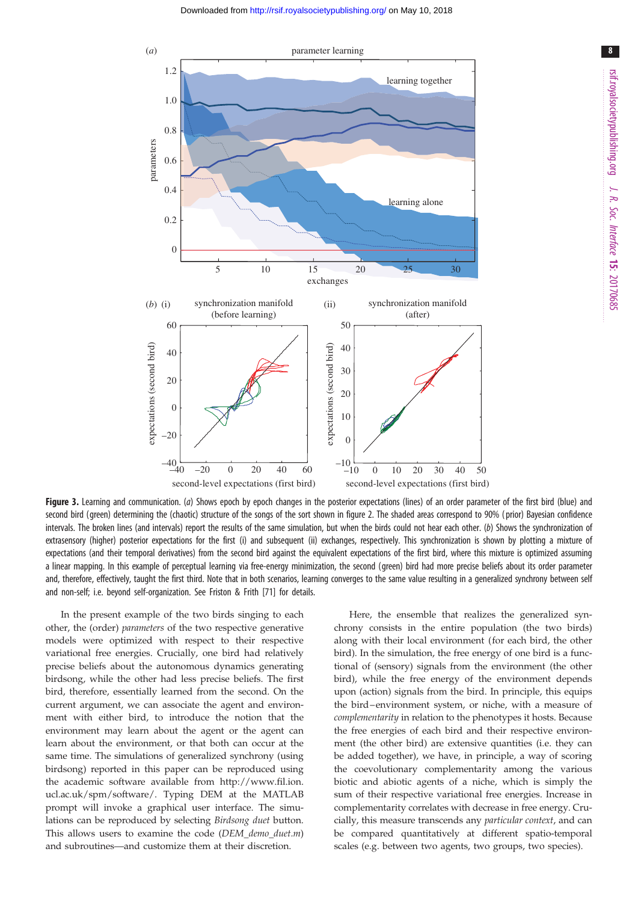<span id="page-7-0"></span>

Figure 3. Learning and communication. (a) Shows epoch by epoch changes in the posterior expectations (lines) of an order parameter of the first bird (blue) and second bird (green) determining the (chaotic) structure of the songs of the sort shown in [figure 2](#page-5-0). The shaded areas correspond to 90% ( prior) Bayesian confidence intervals. The broken lines (and intervals) report the results of the same simulation, but when the birds could not hear each other. (b) Shows the synchronization of extrasensory (higher) posterior expectations for the first (i) and subsequent (ii) exchanges, respectively. This synchronization is shown by plotting a mixture of expectations (and their temporal derivatives) from the second bird against the equivalent expectations of the first bird, where this mixture is optimized assuming a linear mapping. In this example of perceptual learning via free-energy minimization, the second (green) bird had more precise beliefs about its order parameter and, therefore, effectively, taught the first third. Note that in both scenarios, learning converges to the same value resulting in a generalized synchrony between self and non-self; i.e. beyond self-organization. See Friston & Frith [\[71\]](#page-12-0) for details.

In the present example of the two birds singing to each other, the (order) parameters of the two respective generative models were optimized with respect to their respective variational free energies. Crucially, one bird had relatively precise beliefs about the autonomous dynamics generating birdsong, while the other had less precise beliefs. The first bird, therefore, essentially learned from the second. On the current argument, we can associate the agent and environment with either bird, to introduce the notion that the environment may learn about the agent or the agent can learn about the environment, or that both can occur at the same time. The simulations of generalized synchrony (using birdsong) reported in this paper can be reproduced using the academic software available from [http://www.fil.ion.](http://www.fil.ion.ucl.ac.uk/spm/software/) [ucl.ac.uk/spm/software/](http://www.fil.ion.ucl.ac.uk/spm/software/). Typing DEM at the MATLAB prompt will invoke a graphical user interface. The simulations can be reproduced by selecting Birdsong duet button. This allows users to examine the code (DEM demo duet.m) and subroutines—and customize them at their discretion.

Here, the ensemble that realizes the generalized synchrony consists in the entire population (the two birds) along with their local environment (for each bird, the other bird). In the simulation, the free energy of one bird is a functional of (sensory) signals from the environment (the other bird), while the free energy of the environment depends upon (action) signals from the bird. In principle, this equips the bird–environment system, or niche, with a measure of complementarity in relation to the phenotypes it hosts. Because the free energies of each bird and their respective environment (the other bird) are extensive quantities (i.e. they can be added together), we have, in principle, a way of scoring the coevolutionary complementarity among the various biotic and abiotic agents of a niche, which is simply the sum of their respective variational free energies. Increase in complementarity correlates with decrease in free energy. Crucially, this measure transcends any particular context, and can be compared quantitatively at different spatio-temporal scales (e.g. between two agents, two groups, two species).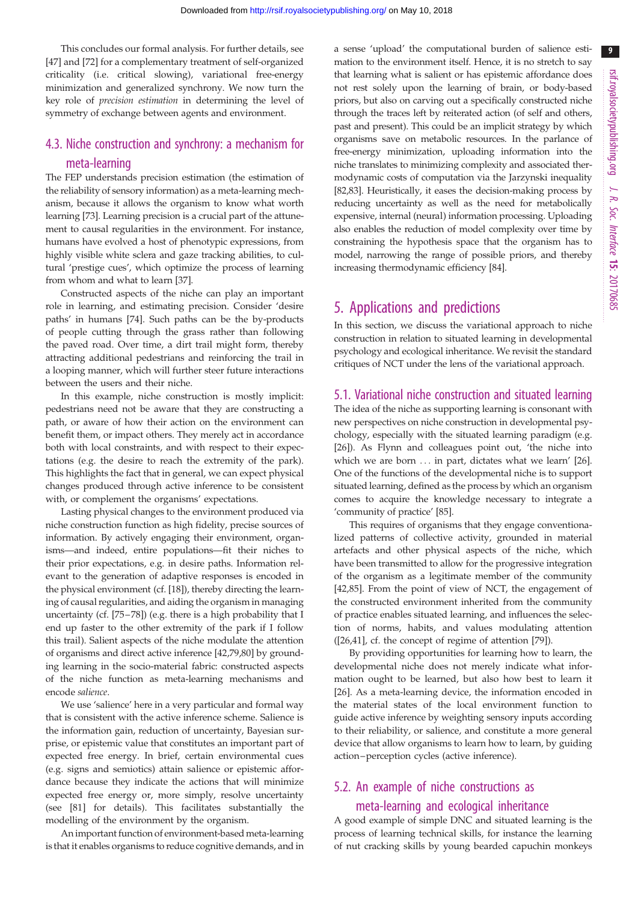This concludes our formal analysis. For further details, see [\[47](#page-12-0)] and [[72\]](#page-12-0) for a complementary treatment of self-organized criticality (i.e. critical slowing), variational free-energy minimization and generalized synchrony. We now turn the key role of precision estimation in determining the level of symmetry of exchange between agents and environment.

# 4.3. Niche construction and synchrony: a mechanism for

# meta-learning

The FEP understands precision estimation (the estimation of the reliability of sensory information) as a meta-learning mechanism, because it allows the organism to know what worth learning [[73\]](#page-12-0). Learning precision is a crucial part of the attunement to causal regularities in the environment. For instance, humans have evolved a host of phenotypic expressions, from highly visible white sclera and gaze tracking abilities, to cultural 'prestige cues', which optimize the process of learning from whom and what to learn [\[37](#page-12-0)].

Constructed aspects of the niche can play an important role in learning, and estimating precision. Consider 'desire paths' in humans [\[74](#page-12-0)]. Such paths can be the by-products of people cutting through the grass rather than following the paved road. Over time, a dirt trail might form, thereby attracting additional pedestrians and reinforcing the trail in a looping manner, which will further steer future interactions between the users and their niche.

In this example, niche construction is mostly implicit: pedestrians need not be aware that they are constructing a path, or aware of how their action on the environment can benefit them, or impact others. They merely act in accordance both with local constraints, and with respect to their expectations (e.g. the desire to reach the extremity of the park). This highlights the fact that in general, we can expect physical changes produced through active inference to be consistent with, or complement the organisms' expectations.

Lasting physical changes to the environment produced via niche construction function as high fidelity, precise sources of information. By actively engaging their environment, organisms—and indeed, entire populations—fit their niches to their prior expectations, e.g. in desire paths. Information relevant to the generation of adaptive responses is encoded in the physical environment (cf. [[18\]](#page-11-0)), thereby directing the learning of causal regularities, and aiding the organism in managing uncertainty (cf. [\[75](#page-12-0)–[78](#page-13-0)]) (e.g. there is a high probability that I end up faster to the other extremity of the park if I follow this trail). Salient aspects of the niche modulate the attention of organisms and direct active inference [\[42](#page-12-0)[,79,80](#page-13-0)] by grounding learning in the socio-material fabric: constructed aspects of the niche function as meta-learning mechanisms and encode salience.

We use 'salience' here in a very particular and formal way that is consistent with the active inference scheme. Salience is the information gain, reduction of uncertainty, Bayesian surprise, or epistemic value that constitutes an important part of expected free energy. In brief, certain environmental cues (e.g. signs and semiotics) attain salience or epistemic affordance because they indicate the actions that will minimize expected free energy or, more simply, resolve uncertainty (see [\[81](#page-13-0)] for details). This facilitates substantially the modelling of the environment by the organism.

An important function of environment-based meta-learning is that it enables organisms to reduce cognitive demands, and in a sense 'upload' the computational burden of salience estimation to the environment itself. Hence, it is no stretch to say that learning what is salient or has epistemic affordance does not rest solely upon the learning of brain, or body-based priors, but also on carving out a specifically constructed niche through the traces left by reiterated action (of self and others, past and present). This could be an implicit strategy by which organisms save on metabolic resources. In the parlance of free-energy minimization, uploading information into the niche translates to minimizing complexity and associated thermodynamic costs of computation via the Jarzynski inequality [[82](#page-13-0),[83](#page-13-0)]. Heuristically, it eases the decision-making process by reducing uncertainty as well as the need for metabolically expensive, internal (neural) information processing. Uploading also enables the reduction of model complexity over time by constraining the hypothesis space that the organism has to model, narrowing the range of possible priors, and thereby increasing thermodynamic efficiency [\[84](#page-13-0)].

# 5. Applications and predictions

In this section, we discuss the variational approach to niche construction in relation to situated learning in developmental psychology and ecological inheritance. We revisit the standard critiques of NCT under the lens of the variational approach.

#### 5.1. Variational niche construction and situated learning

The idea of the niche as supporting learning is consonant with new perspectives on niche construction in developmental psychology, especially with the situated learning paradigm (e.g. [[26\]](#page-12-0)). As Flynn and colleagues point out, 'the niche into which we are born ... in part, dictates what we learn' [[26\]](#page-12-0). One of the functions of the developmental niche is to support situated learning, defined as the process by which an organism comes to acquire the knowledge necessary to integrate a 'community of practice' [[85\]](#page-13-0).

This requires of organisms that they engage conventionalized patterns of collective activity, grounded in material artefacts and other physical aspects of the niche, which have been transmitted to allow for the progressive integration of the organism as a legitimate member of the community [[42,](#page-12-0)[85\]](#page-13-0). From the point of view of NCT, the engagement of the constructed environment inherited from the community of practice enables situated learning, and influences the selection of norms, habits, and values modulating attention ([[26,41\]](#page-12-0), cf. the concept of regime of attention [\[79](#page-13-0)]).

By providing opportunities for learning how to learn, the developmental niche does not merely indicate what information ought to be learned, but also how best to learn it [[26\]](#page-12-0). As a meta-learning device, the information encoded in the material states of the local environment function to guide active inference by weighting sensory inputs according to their reliability, or salience, and constitute a more general device that allow organisms to learn how to learn, by guiding action –perception cycles (active inference).

#### 5.2. An example of niche constructions as

#### meta-learning and ecological inheritance

A good example of simple DNC and situated learning is the process of learning technical skills, for instance the learning of nut cracking skills by young bearded capuchin monkeys

9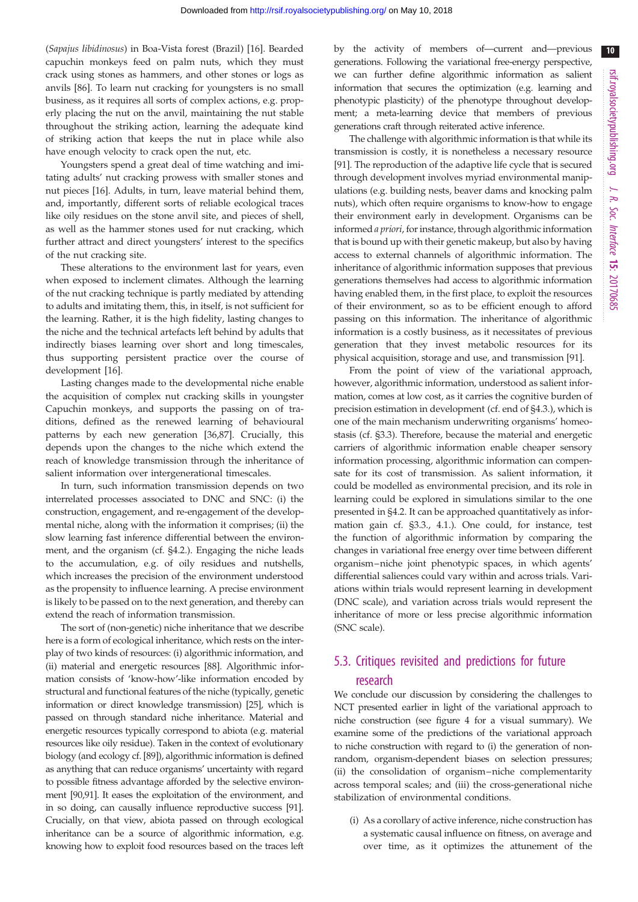$10$ 

(Sapajus libidinosus) in Boa-Vista forest (Brazil) [[16\]](#page-11-0). Bearded capuchin monkeys feed on palm nuts, which they must crack using stones as hammers, and other stones or logs as anvils [\[86](#page-13-0)]. To learn nut cracking for youngsters is no small business, as it requires all sorts of complex actions, e.g. properly placing the nut on the anvil, maintaining the nut stable throughout the striking action, learning the adequate kind of striking action that keeps the nut in place while also have enough velocity to crack open the nut, etc.

Youngsters spend a great deal of time watching and imitating adults' nut cracking prowess with smaller stones and nut pieces [\[16](#page-11-0)]. Adults, in turn, leave material behind them, and, importantly, different sorts of reliable ecological traces like oily residues on the stone anvil site, and pieces of shell, as well as the hammer stones used for nut cracking, which further attract and direct youngsters' interest to the specifics of the nut cracking site.

These alterations to the environment last for years, even when exposed to inclement climates. Although the learning of the nut cracking technique is partly mediated by attending to adults and imitating them, this, in itself, is not sufficient for the learning. Rather, it is the high fidelity, lasting changes to the niche and the technical artefacts left behind by adults that indirectly biases learning over short and long timescales, thus supporting persistent practice over the course of development [[16](#page-11-0)].

Lasting changes made to the developmental niche enable the acquisition of complex nut cracking skills in youngster Capuchin monkeys, and supports the passing on of traditions, defined as the renewed learning of behavioural patterns by each new generation [\[36](#page-12-0),[87\]](#page-13-0). Crucially, this depends upon the changes to the niche which extend the reach of knowledge transmission through the inheritance of salient information over intergenerational timescales.

In turn, such information transmission depends on two interrelated processes associated to DNC and SNC: (i) the construction, engagement, and re-engagement of the developmental niche, along with the information it comprises; (ii) the slow learning fast inference differential between the environment, and the organism (cf. §4.2.). Engaging the niche leads to the accumulation, e.g. of oily residues and nutshells, which increases the precision of the environment understood as the propensity to influence learning. A precise environment is likely to be passed on to the next generation, and thereby can extend the reach of information transmission.

The sort of (non-genetic) niche inheritance that we describe here is a form of ecological inheritance, which rests on the interplay of two kinds of resources: (i) algorithmic information, and (ii) material and energetic resources [\[88](#page-13-0)]. Algorithmic information consists of 'know-how'-like information encoded by structural and functional features of the niche (typically, genetic information or direct knowledge transmission) [\[25\]](#page-11-0), which is passed on through standard niche inheritance. Material and energetic resources typically correspond to abiota (e.g. material resources like oily residue). Taken in the context of evolutionary biology (and ecology cf. [[89](#page-13-0)]), algorithmic information is defined as anything that can reduce organisms' uncertainty with regard to possible fitness advantage afforded by the selective environment [\[90,91\]](#page-13-0). It eases the exploitation of the environment, and in so doing, can causally influence reproductive success [[91](#page-13-0)]. Crucially, on that view, abiota passed on through ecological inheritance can be a source of algorithmic information, e.g. knowing how to exploit food resources based on the traces left

by the activity of members of—current and—previous generations. Following the variational free-energy perspective, we can further define algorithmic information as salient information that secures the optimization (e.g. learning and phenotypic plasticity) of the phenotype throughout development; a meta-learning device that members of previous generations craft through reiterated active inference.

The challenge with algorithmic information is that while its transmission is costly, it is nonetheless a necessary resource [[91\]](#page-13-0). The reproduction of the adaptive life cycle that is secured through development involves myriad environmental manipulations (e.g. building nests, beaver dams and knocking palm nuts), which often require organisms to know-how to engage their environment early in development. Organisms can be informed a priori, for instance, through algorithmic information that is bound up with their genetic makeup, but also by having access to external channels of algorithmic information. The inheritance of algorithmic information supposes that previous generations themselves had access to algorithmic information having enabled them, in the first place, to exploit the resources of their environment, so as to be efficient enough to afford passing on this information. The inheritance of algorithmic information is a costly business, as it necessitates of previous generation that they invest metabolic resources for its physical acquisition, storage and use, and transmission [[91\]](#page-13-0).

From the point of view of the variational approach, however, algorithmic information, understood as salient information, comes at low cost, as it carries the cognitive burden of precision estimation in development (cf. end of §4.3.), which is one of the main mechanism underwriting organisms' homeostasis (cf. §3.3). Therefore, because the material and energetic carriers of algorithmic information enable cheaper sensory information processing, algorithmic information can compensate for its cost of transmission. As salient information, it could be modelled as environmental precision, and its role in learning could be explored in simulations similar to the one presented in §4.2. It can be approached quantitatively as information gain cf. §3.3., 4.1.). One could, for instance, test the function of algorithmic information by comparing the changes in variational free energy over time between different organism–niche joint phenotypic spaces, in which agents' differential saliences could vary within and across trials. Variations within trials would represent learning in development (DNC scale), and variation across trials would represent the inheritance of more or less precise algorithmic information (SNC scale).

# 5.3. Critiques revisited and predictions for future research

We conclude our discussion by considering the challenges to NCT presented earlier in light of the variational approach to niche construction (see [figure 4](#page-10-0) for a visual summary). We examine some of the predictions of the variational approach to niche construction with regard to (i) the generation of nonrandom, organism-dependent biases on selection pressures; (ii) the consolidation of organism–niche complementarity across temporal scales; and (iii) the cross-generational niche stabilization of environmental conditions.

(i) As a corollary of active inference, niche construction has a systematic causal influence on fitness, on average and over time, as it optimizes the attunement of the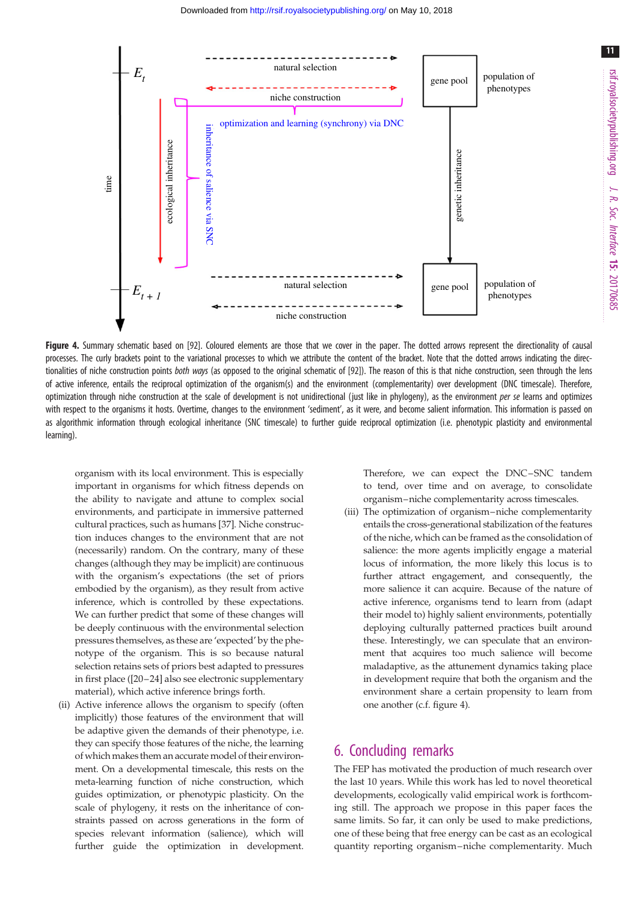<span id="page-10-0"></span>

Figure 4. Summary schematic based on [\[92\]](#page-13-0). Coloured elements are those that we cover in the paper. The dotted arrows represent the directionality of causal processes. The curly brackets point to the variational processes to which we attribute the content of the bracket. Note that the dotted arrows indicating the direc-tionalities of niche construction points both ways (as opposed to the original schematic of [\[92\]](#page-13-0)). The reason of this is that niche construction, seen through the lens of active inference, entails the reciprocal optimization of the organism(s) and the environment (complementarity) over development (DNC timescale). Therefore, optimization through niche construction at the scale of development is not unidirectional (just like in phylogeny), as the environment per se learns and optimizes with respect to the organisms it hosts. Overtime, changes to the environment 'sediment', as it were, and become salient information. This information is passed on as algorithmic information through ecological inheritance (SNC timescale) to further guide reciprocal optimization (i.e. phenotypic plasticity and environmental learning).

organism with its local environment. This is especially important in organisms for which fitness depends on the ability to navigate and attune to complex social environments, and participate in immersive patterned cultural practices, such as humans [[37\]](#page-12-0). Niche construction induces changes to the environment that are not (necessarily) random. On the contrary, many of these changes (although they may be implicit) are continuous with the organism's expectations (the set of priors embodied by the organism), as they result from active inference, which is controlled by these expectations. We can further predict that some of these changes will be deeply continuous with the environmental selection pressures themselves, as these are 'expected' by the phenotype of the organism. This is so because natural selection retains sets of priors best adapted to pressures in first place ([[20](#page-11-0)–[24\]](#page-11-0) also see electronic supplementary material), which active inference brings forth.

(ii) Active inference allows the organism to specify (often implicitly) those features of the environment that will be adaptive given the demands of their phenotype, i.e. they can specify those features of the niche, the learning of which makes them an accurate model of their environment. On a developmental timescale, this rests on the meta-learning function of niche construction, which guides optimization, or phenotypic plasticity. On the scale of phylogeny, it rests on the inheritance of constraints passed on across generations in the form of species relevant information (salience), which will further guide the optimization in development.

Therefore, we can expect the DNC–SNC tandem to tend, over time and on average, to consolidate organism–niche complementarity across timescales.

(iii) The optimization of organism–niche complementarity entails the cross-generational stabilization of the features of the niche, which can be framed as the consolidation of salience: the more agents implicitly engage a material locus of information, the more likely this locus is to further attract engagement, and consequently, the more salience it can acquire. Because of the nature of active inference, organisms tend to learn from (adapt their model to) highly salient environments, potentially deploying culturally patterned practices built around these. Interestingly, we can speculate that an environment that acquires too much salience will become maladaptive, as the attunement dynamics taking place in development require that both the organism and the environment share a certain propensity to learn from one another (c.f. figure 4).

## 6. Concluding remarks

The FEP has motivated the production of much research over the last 10 years. While this work has led to novel theoretical developments, ecologically valid empirical work is forthcoming still. The approach we propose in this paper faces the same limits. So far, it can only be used to make predictions, one of these being that free energy can be cast as an ecological quantity reporting organism –niche complementarity. Much 11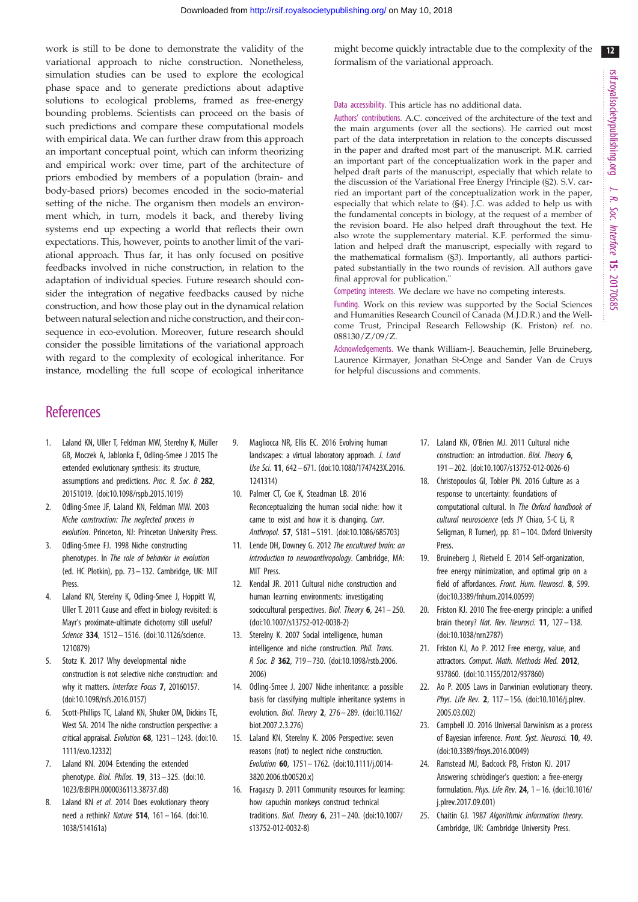<span id="page-11-0"></span>work is still to be done to demonstrate the validity of the variational approach to niche construction. Nonetheless, simulation studies can be used to explore the ecological phase space and to generate predictions about adaptive solutions to ecological problems, framed as free-energy bounding problems. Scientists can proceed on the basis of such predictions and compare these computational models with empirical data. We can further draw from this approach an important conceptual point, which can inform theorizing and empirical work: over time, part of the architecture of priors embodied by members of a population (brain- and body-based priors) becomes encoded in the socio-material setting of the niche. The organism then models an environment which, in turn, models it back, and thereby living systems end up expecting a world that reflects their own expectations. This, however, points to another limit of the variational approach. Thus far, it has only focused on positive feedbacks involved in niche construction, in relation to the adaptation of individual species. Future research should consider the integration of negative feedbacks caused by niche construction, and how those play out in the dynamical relation between natural selection and niche construction, and their consequence in eco-evolution. Moreover, future research should consider the possible limitations of the variational approach with regard to the complexity of ecological inheritance. For instance, modelling the full scope of ecological inheritance might become quickly intractable due to the complexity of the formalism of the variational approach.

#### Data accessibility. This article has no additional data.

Authors' contributions. A.C. conceived of the architecture of the text and the main arguments (over all the sections). He carried out most part of the data interpretation in relation to the concepts discussed in the paper and drafted most part of the manuscript. M.R. carried an important part of the conceptualization work in the paper and helped draft parts of the manuscript, especially that which relate to the discussion of the Variational Free Energy Principle (§2). S.V. carried an important part of the conceptualization work in the paper, especially that which relate to (§4). J.C. was added to help us with the fundamental concepts in biology, at the request of a member of the revision board. He also helped draft throughout the text. He also wrote the supplementary material. K.F. performed the simulation and helped draft the manuscript, especially with regard to the mathematical formalism (§3). Importantly, all authors participated substantially in the two rounds of revision. All authors gave final approval for publication."

Competing interests. We declare we have no competing interests.

Funding. Work on this review was supported by the Social Sciences and Humanities Research Council of Canada (M.J.D.R.) and the Wellcome Trust, Principal Research Fellowship (K. Friston) ref. no. 088130/Z/09/Z.

Acknowledgements. We thank William-J. Beauchemin, Jelle Bruineberg, Laurence Kirmayer, Jonathan St-Onge and Sander Van de Cruys for helpful discussions and comments.

# **References**

- 1. Laland KN, Uller T, Feldman MW, Sterelny K, Müller GB, Moczek A, Jablonka E, Odling-Smee J 2015 The extended evolutionary synthesis: its structure, assumptions and predictions. Proc. R. Soc. B 282, 20151019. [\(doi:10.1098/rspb.2015.1019\)](http://dx.doi.org/10.1098/rspb.2015.1019)
- 2. Odling-Smee JF, Laland KN, Feldman MW. 2003 Niche construction: The neglected process in evolution. Princeton, NJ: Princeton University Press.
- 3. Odling-Smee FJ. 1998 Niche constructing phenotypes. In The role of behavior in evolution (ed. HC Plotkin), pp. 73 – 132. Cambridge, UK: MIT Press.
- 4. Laland KN, Sterelny K, Odling-Smee J, Hoppitt W, Uller T. 2011 Cause and effect in biology revisited: is Mayr's proximate-ultimate dichotomy still useful? Science 334, 1512– 1516. [\(doi:10.1126/science.](http://dx.doi.org/10.1126/science.1210879) [1210879\)](http://dx.doi.org/10.1126/science.1210879)
- 5. Stotz K. 2017 Why developmental niche construction is not selective niche construction: and why it matters. Interface Focus 7, 20160157. [\(doi:10.1098/rsfs.2016.0157](http://dx.doi.org/10.1098/rsfs.2016.0157))
- 6. Scott-Phillips TC, Laland KN, Shuker DM, Dickins TE, West SA. 2014 The niche construction perspective: a critical appraisal. Evolution 68, 1231– 1243. ([doi:10.](http://dx.doi.org/10.1111/evo.12332) [1111/evo.12332](http://dx.doi.org/10.1111/evo.12332))
- 7. Laland KN. 2004 Extending the extended phenotype. Biol. Philos. 19, 313 – 325. [\(doi:10.](http://dx.doi.org/10.1023/B:BIPH.0000036113.38737.d8) [1023/B:BIPH.0000036113.38737.d8](http://dx.doi.org/10.1023/B:BIPH.0000036113.38737.d8))
- 8. Laland KN et al. 2014 Does evolutionary theory need a rethink? Nature 514, 161– 164. ([doi:10.](http://dx.doi.org/10.1038/514161a) [1038/514161a](http://dx.doi.org/10.1038/514161a))
- 9. Magliocca NR, Ellis EC. 2016 Evolving human landscapes: a virtual laboratory approach. J. Land Use Sci. 11, 642– 671. [\(doi:10.1080/1747423X.2016.](http://dx.doi.org/10.1080/1747423X.2016.1241314) [1241314\)](http://dx.doi.org/10.1080/1747423X.2016.1241314)
- 10. Palmer CT, Coe K, Steadman LB. 2016 Reconceptualizing the human social niche: how it came to exist and how it is changing. Curr. Anthropol. 57, S181– S191. [\(doi:10.1086/685703\)](http://dx.doi.org/10.1086/685703)
- 11. Lende DH, Downey G. 2012 The encultured brain: an introduction to neuroanthropology. Cambridge, MA: MIT Press.
- 12. Kendal JR. 2011 Cultural niche construction and human learning environments: investigating sociocultural perspectives. Biol. Theory 6, 241-250. [\(doi:10.1007/s13752-012-0038-2](http://dx.doi.org/10.1007/s13752-012-0038-2))
- 13. Sterelny K. 2007 Social intelligence, human intelligence and niche construction. Phil. Trans. R Soc. B 362, 719 – 730. [\(doi:10.1098/rstb.2006.](http://dx.doi.org/10.1098/rstb.2006.2006) [2006](http://dx.doi.org/10.1098/rstb.2006.2006))
- 14. Odling-Smee J. 2007 Niche inheritance: a possible basis for classifying multiple inheritance systems in evolution. Biol. Theory 2, 276 – 289. ([doi:10.1162/](http://dx.doi.org/10.1162/biot.2007.2.3.276) [biot.2007.2.3.276\)](http://dx.doi.org/10.1162/biot.2007.2.3.276)
- 15. Laland KN, Sterelny K. 2006 Perspective: seven reasons (not) to neglect niche construction. Evolution 60, 1751 – 1762. [\(doi:10.1111/j.0014-](http://dx.doi.org/10.1111/j.0014-3820.2006.tb00520.x) [3820.2006.tb00520.x\)](http://dx.doi.org/10.1111/j.0014-3820.2006.tb00520.x)
- 16. Fragaszy D. 2011 Community resources for learning: how capuchin monkeys construct technical traditions. Biol. Theory 6, 231– 240. [\(doi:10.1007/](http://dx.doi.org/10.1007/s13752-012-0032-8) [s13752-012-0032-8\)](http://dx.doi.org/10.1007/s13752-012-0032-8)
- 17. Laland KN, O'Brien MJ. 2011 Cultural niche construction: an introduction. Biol. Theory 6, 191– 202. [\(doi:10.1007/s13752-012-0026-6](http://dx.doi.org/10.1007/s13752-012-0026-6))
- 18. Christopoulos GI, Tobler PN. 2016 Culture as a response to uncertainty: foundations of computational cultural. In The Oxford handbook of cultural neuroscience (eds JY Chiao, S-C Li, R Seligman, R Turner), pp. 81– 104. Oxford University Press.
- 19. Bruineberg J, Rietveld E. 2014 Self-organization, free energy minimization, and optimal grip on a field of affordances. Front. Hum. Neurosci. 8, 599. ([doi:10.3389/fnhum.2014.00599](http://dx.doi.org/10.3389/fnhum.2014.00599))
- 20. Friston KJ. 2010 The free-energy principle: a unified brain theory? Nat. Rev. Neurosci. 11, 127 - 138. ([doi:10.1038/nrn2787](http://dx.doi.org/10.1038/nrn2787))
- 21. Friston KJ, Ao P. 2012 Free energy, value, and attractors. Comput. Math. Methods Med. 2012, 937860. ([doi:10.1155/2012/937860\)](http://dx.doi.org/10.1155/2012/937860)
- 22. Ao P. 2005 Laws in Darwinian evolutionary theory. Phys. Life Rev. 2, 117 - 156. ([doi:10.1016/j.plrev.](http://dx.doi.org/10.1016/j.plrev.2005.03.002) [2005.03.002](http://dx.doi.org/10.1016/j.plrev.2005.03.002))
- 23. Campbell JO. 2016 Universal Darwinism as a process of Bayesian inference. Front. Syst. Neurosci. 10, 49. ([doi:10.3389/fnsys.2016.00049\)](http://dx.doi.org/10.3389/fnsys.2016.00049)
- 24. Ramstead MJ, Badcock PB, Friston KJ. 2017 Answering schrödinger's question: a free-energy formulation. Phys. Life Rev. 24, 1– 16. [\(doi:10.1016/](http://dx.doi.org/10.1016/j.plrev.2017.09.001) [j.plrev.2017.09.001\)](http://dx.doi.org/10.1016/j.plrev.2017.09.001)
- 25. Chaitin GJ. 1987 Algorithmic information theory. Cambridge, UK: Cambridge University Press.

 $12$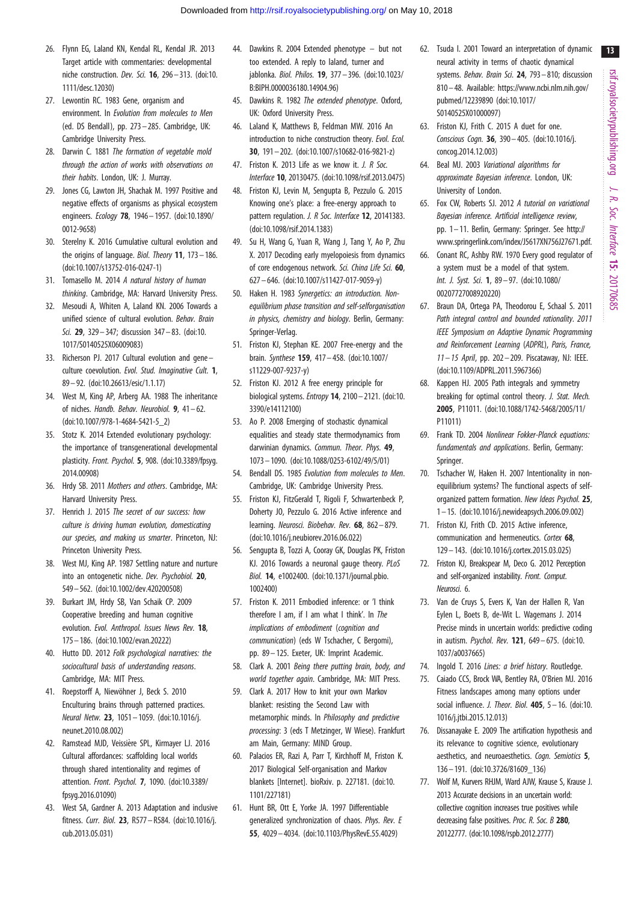- <span id="page-12-0"></span>26. Flynn EG, Laland KN, Kendal RL, Kendal JR. 2013 Target article with commentaries: developmental niche construction. Dev. Sci. 16, 296 – 313. ([doi:10.](http://dx.doi.org/10.1111/desc.12030) [1111/desc.12030](http://dx.doi.org/10.1111/desc.12030))
- 27. Lewontin RC. 1983 Gene, organism and environment. In Evolution from molecules to Men (ed. DS Bendall), pp. 273 – 285. Cambridge, UK: Cambridge University Press.
- 28. Darwin C. 1881 The formation of vegetable mold through the action of works with observations on their habits. London, UK: J. Murray.
- 29. Jones CG, Lawton JH, Shachak M. 1997 Positive and negative effects of organisms as physical ecosystem engineers. Ecology 78, 1946 – 1957. ([doi:10.1890/](http://dx.doi.org/10.1890/0012-9658) [0012-9658\)](http://dx.doi.org/10.1890/0012-9658)
- 30. Sterelny K. 2016 Cumulative cultural evolution and the origins of language. Biol. Theory 11, 173– 186. [\(doi:10.1007/s13752-016-0247-1\)](http://dx.doi.org/10.1007/s13752-016-0247-1)
- 31. Tomasello M. 2014 A natural history of human thinking. Cambridge, MA: Harvard University Press.
- 32. Mesoudi A, Whiten A, Laland KN. 2006 Towards a unified science of cultural evolution. Behav. Brain Sci. 29, 329– 347; discussion 347– 83. ([doi:10.](http://dx.doi.org/10.1017/S0140525X06009083) [1017/S0140525X06009083](http://dx.doi.org/10.1017/S0140525X06009083))
- 33. Richerson PJ. 2017 Cultural evolution and gene culture coevolution. Evol. Stud. Imaginative Cult. 1. 89 – 92. ([doi:10.26613/esic/1.1.17\)](http://dx.doi.org/10.26613/esic/1.1.17)
- 34. West M, King AP, Arberg AA. 1988 The inheritance of niches. Handb. Behav. Neurobiol. 9, 41 – 62. [\(doi:10.1007/978-1-4684-5421-5\\_2](http://dx.doi.org/10.1007/978-1-4684-5421-5_2))
- 35. Stotz K. 2014 Extended evolutionary psychology: the importance of transgenerational developmental plasticity. Front. Psychol. 5, 908. [\(doi:10.3389/fpsyg.](http://dx.doi.org/10.3389/fpsyg.2014.00908) [2014.00908](http://dx.doi.org/10.3389/fpsyg.2014.00908))
- 36. Hrdy SB. 2011 Mothers and others. Cambridge, MA: Harvard University Press.
- 37. Henrich J. 2015 The secret of our success: how culture is driving human evolution, domesticating our species, and making us smarter. Princeton, NJ: Princeton University Press.
- 38. West MJ, King AP. 1987 Settling nature and nurture into an ontogenetic niche. Dev. Psychobiol. 20, 549– 562. ([doi:10.1002/dev.420200508](http://dx.doi.org/10.1002/dev.420200508))
- 39. Burkart JM, Hrdy SB, Van Schaik CP. 2009 Cooperative breeding and human cognitive evolution. Evol. Anthropol. Issues News Rev. 18, 175– 186. ([doi:10.1002/evan.20222\)](http://dx.doi.org/10.1002/evan.20222)
- 40. Hutto DD. 2012 Folk psychological narratives: the sociocultural basis of understanding reasons. Cambridge, MA: MIT Press.
- 41. Roepstorff A, Niewöhner J, Beck S, 2010 Enculturing brains through patterned practices. Neural Netw. 23, 1051– 1059. ([doi:10.1016/j.](http://dx.doi.org/10.1016/j.neunet.2010.08.002) [neunet.2010.08.002\)](http://dx.doi.org/10.1016/j.neunet.2010.08.002)
- 42. Ramstead MJD, Veissière SPL, Kirmayer LJ. 2016 Cultural affordances: scaffolding local worlds through shared intentionality and regimes of attention. Front. Psychol. 7, 1090. ([doi:10.3389/](http://dx.doi.org/10.3389/fpsyg.2016.01090) [fpsyg.2016.01090](http://dx.doi.org/10.3389/fpsyg.2016.01090))
- 43. West SA, Gardner A. 2013 Adaptation and inclusive fitness. Curr. Biol. 23, R577 –R584. [\(doi:10.1016/j.](http://dx.doi.org/10.1016/j.cub.2013.05.031) [cub.2013.05.031](http://dx.doi.org/10.1016/j.cub.2013.05.031))
- 44. Dawkins R. 2004 Extended phenotype but not too extended. A reply to laland, turner and jablonka. Biol. Philos. 19, 377– 396. ([doi:10.1023/](http://dx.doi.org/10.1023/B:BIPH.0000036180.14904.96) [B:BIPH.0000036180.14904.96\)](http://dx.doi.org/10.1023/B:BIPH.0000036180.14904.96)
- 45. Dawkins R. 1982 The extended phenotype. Oxford, UK: Oxford University Press.
- 46. Laland K, Matthews B, Feldman MW. 2016 An introduction to niche construction theory. Evol. Ecol. 30, 191– 202. ([doi:10.1007/s10682-016-9821-z](http://dx.doi.org/10.1007/s10682-016-9821-z))
- 47. Friston K. 2013 Life as we know it. J. R Soc. Interface 10, 20130475. ([doi:10.1098/rsif.2013.0475\)](http://dx.doi.org/10.1098/rsif.2013.0475)
- 48. Friston KJ, Levin M, Sengupta B, Pezzulo G. 2015 Knowing one's place: a free-energy approach to pattern regulation. J. R Soc. Interface 12, 20141383. [\(doi:10.1098/rsif.2014.1383](http://dx.doi.org/10.1098/rsif.2014.1383))
- 49. Su H, Wang G, Yuan R, Wang J, Tang Y, Ao P, Zhu X. 2017 Decoding early myelopoiesis from dynamics of core endogenous network. Sci. China Life Sci. 60, 627 – 646. [\(doi:10.1007/s11427-017-9059-y](http://dx.doi.org/10.1007/s11427-017-9059-y))
- 50. Haken H. 1983 Synergetics: an introduction. Nonequilibrium phase transition and self-selforganisation in physics, chemistry and biology. Berlin, Germany: Springer-Verlag.
- 51. Friston KJ, Stephan KE. 2007 Free-energy and the brain. Synthese 159, 417– 458. [\(doi:10.1007/](http://dx.doi.org/10.1007/s11229-007-9237-y) [s11229-007-9237-y](http://dx.doi.org/10.1007/s11229-007-9237-y))
- 52. Friston KJ. 2012 A free energy principle for biological systems. *Entropy* **14**, 2100 - 2121. [\(doi:10.](http://dx.doi.org/10.3390/e14112100) [3390/e14112100](http://dx.doi.org/10.3390/e14112100))
- 53. Ao P. 2008 Emerging of stochastic dynamical equalities and steady state thermodynamics from darwinian dynamics. Commun. Theor. Phys. 49, 1073– 1090. [\(doi:10.1088/0253-6102/49/5/01](http://dx.doi.org/10.1088/0253-6102/49/5/01))
- 54. Bendall DS, 1985 *Evolution from molecules to Men*. Cambridge, UK: Cambridge University Press.
- 55. Friston KJ, FitzGerald T, Rigoli F, Schwartenbeck P, Doherty JO, Pezzulo G. 2016 Active inference and learning. Neurosci. Biobehav. Rev. 68, 862– 879. [\(doi:10.1016/j.neubiorev.2016.06.022\)](http://dx.doi.org/10.1016/j.neubiorev.2016.06.022)
- 56. Sengupta B, Tozzi A, Cooray GK, Douglas PK, Friston KJ. 2016 Towards a neuronal gauge theory. PLoS Biol. 14, e1002400. ([doi:10.1371/journal.pbio.](http://dx.doi.org/10.1371/journal.pbio.1002400) [1002400\)](http://dx.doi.org/10.1371/journal.pbio.1002400)
- 57. Friston K. 2011 Embodied inference: or 'I think therefore I am, if I am what I think'. In The implications of embodiment (cognition and communication) (eds W Tschacher, C Bergomi), pp. 89– 125. Exeter, UK: Imprint Academic.
- 58. Clark A. 2001 Being there putting brain, body, and world together again. Cambridge, MA: MIT Press.
- 59. Clark A. 2017 How to knit your own Markov blanket: resisting the Second Law with metamorphic minds. In Philosophy and predictive processing: 3 (eds T Metzinger, W Wiese). Frankfurt am Main, Germany: MIND Group.
- 60. Palacios ER, Razi A, Parr T, Kirchhoff M, Friston K. 2017 Biological Self-organisation and Markov blankets [Internet]. bioRxiv. p. 227181. ([doi:10.](http://dx.doi.org/10.1101/227181) [1101/227181](http://dx.doi.org/10.1101/227181))
- 61. Hunt BR, Ott E, Yorke JA. 1997 Differentiable generalized synchronization of chaos. Phys. Rev. E 55, 4029 – 4034. [\(doi:10.1103/PhysRevE.55.4029\)](http://dx.doi.org/10.1103/PhysRevE.55.4029)
- 62. Tsuda I. 2001 Toward an interpretation of dynamic neural activity in terms of chaotic dynamical systems. Behav. Brain Sci. 24, 793-810; discussion 810– 48. Available: [https://www.ncbi.nlm.nih.gov/](https://www.ncbi.nlm.nih.gov/pubmed/12239890) [pubmed/12239890](https://www.ncbi.nlm.nih.gov/pubmed/12239890) [\(doi:10.1017/](http://dx.doi.org/10.1017/S0140525X01000097) [S0140525X01000097](http://dx.doi.org/10.1017/S0140525X01000097))
- 63. Friston KJ, Frith C. 2015 A duet for one. Conscious Cogn. 36, 390– 405. ([doi:10.1016/j.](http://dx.doi.org/10.1016/j.concog.2014.12.003) [concog.2014.12.003](http://dx.doi.org/10.1016/j.concog.2014.12.003))
- 64. Beal MJ. 2003 Variational algorithms for approximate Bayesian inference. London, UK: University of London.
- 65. Fox CW, Roberts SJ. 2012 A tutorial on variational Bayesian inference. Artificial intelligence review, pp. 1–11. Berlin, Germany: Springer. See [http://](http://www.springerlink.com/index/J5617XN756J27671.pdf) [www.springerlink.com/index/J5617XN756J27671.pdf.](http://www.springerlink.com/index/J5617XN756J27671.pdf)
- 66. Conant RC, Ashby RW. 1970 Every good regulator of a system must be a model of that system. Int. J. Syst. Sci. 1, 89 – 97. ([doi:10.1080/](http://dx.doi.org/10.1080/00207727008920220) [00207727008920220](http://dx.doi.org/10.1080/00207727008920220))
- 67. Braun DA, Ortega PA, Theodorou E, Schaal S. 2011 Path integral control and bounded rationality. 2011 IEEE Symposium on Adaptive Dynamic Programming and Reinforcement Learning (ADPRL), Paris, France, 11– 15 April, pp. 202 – 209. Piscataway, NJ: IEEE. ([doi:10.1109/ADPRL.2011.5967366](http://dx.doi.org/10.1109/ADPRL.2011.5967366))
- 68. Kappen HJ. 2005 Path integrals and symmetry breaking for optimal control theory. J. Stat. Mech. 2005, P11011. ([doi:10.1088/1742-5468/2005/11/](http://dx.doi.org/10.1088/1742-5468/2005/11/P11011) [P11011](http://dx.doi.org/10.1088/1742-5468/2005/11/P11011))
- 69. Frank TD. 2004 Nonlinear Fokker-Planck equations: fundamentals and applications. Berlin, Germany: Springer.
- 70. Tschacher W, Haken H. 2007 Intentionality in nonequilibrium systems? The functional aspects of selforganized pattern formation. New Ideas Psychol. 25, 1– 15. [\(doi:10.1016/j.newideapsych.2006.09.002\)](http://dx.doi.org/10.1016/j.newideapsych.2006.09.002)
- 71. Friston KJ, Frith CD. 2015 Active inference, communication and hermeneutics. Cortex 68, 129– 143. [\(doi:10.1016/j.cortex.2015.03.025\)](http://dx.doi.org/10.1016/j.cortex.2015.03.025)
- 72. Friston KJ, Breakspear M, Deco G. 2012 Perception and self-organized instability. Front. Comput. Neurosci. 6.
- 73. Van de Cruys S, Evers K, Van der Hallen R, Van Eylen L, Boets B, de-Wit L. Wagemans J. 2014 Precise minds in uncertain worlds: predictive coding in autism. Psychol. Rev. 121, 649 – 675. [\(doi:10.](http://dx.doi.org/10.1037/a0037665) [1037/a0037665](http://dx.doi.org/10.1037/a0037665))
- 74. Ingold T. 2016 Lines: a brief history. Routledge.
- 75. Caiado CCS, Brock WA, Bentley RA, O'Brien MJ. 2016 Fitness landscapes among many options under social influence. *J. Theor. Biol.* **405**,  $5 - 16$ . [\(doi:10.](http://dx.doi.org/10.1016/j.jtbi.2015.12.013) [1016/j.jtbi.2015.12.013\)](http://dx.doi.org/10.1016/j.jtbi.2015.12.013)
- 76. Dissanayake E. 2009 The artification hypothesis and its relevance to cognitive science, evolutionary aesthetics, and neuroaesthetics. Cogn. Semiotics 5, 136– 191. [\(doi:10.3726/81609\\_136](http://dx.doi.org/10.3726/81609_136))
- 77. Wolf M, Kurvers RHJM, Ward AJW, Krause S, Krause J. 2013 Accurate decisions in an uncertain world: collective cognition increases true positives while decreasing false positives. Proc. R. Soc. B 280, 20122777. [\(doi:10.1098/rspb.2012.2777](http://dx.doi.org/10.1098/rspb.2012.2777))